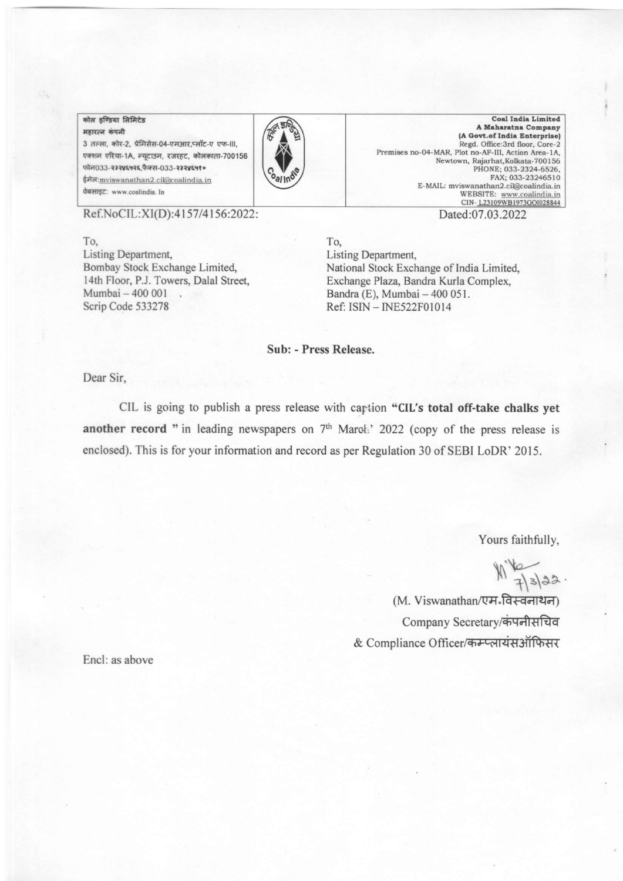## कोल इण्डिया लिमिटेड

महारत्न कंपनी 3 तल्ला, कोर-2, प्रेमिसेस-04-एमआर,प्लॉट-ए एफ-III, एक्शन एरिया-1A, न्यूटाउन, रजरहट, कोलकाता-700156 फोन033-२३२४६५२६,फैक्स-033-२३२४६५१० ईमेल: mviswanathan2.cil@coalindia.in वेबसाइट: www.coalindia. In



**Coal India Limited** A Maharatna Company (A Govt.of India Enterprise) Regd. Office:3rd floor, Core-2 Premises no-O4-MAR, Plot no-AF-III, Action Area-1A, Ncwtown, Rajarhat, I( okata-700 I 56 PHONE; O33-2324-6526, FAX; 033-23246510 E-MAIL: mviswanathan2.cil@coalindia.in WEBSITE: www.coalindia.in CIN-123109WB1973GOI028844

Ref.NoCIL:XI(D):4157/4156:2022: Dated:07.03.2022

To, To, To, To, <br>
Listing Department, <br>
Bombay Stock Exchange Limited, National Stock Exchange Limited, National Stock Exchange 1 Mumbai - 400 001 .<br>
Scrip Code 533278 **Bandra (E), Mumbai - 400 051.**<br>
Ref: ISIN - INE522F01014

Bombay Stock Exchange Limited,<br>
14th Floor, P.J. Towers, Dalal Street, Exchange Plaza, Bandra Kurla Complex, 14th Floor, P.J. Towers, Dalal Street, Exchange Plaza, Bandra Kurla Complex,<br>
Mumbai – 400 001 (Bandra (E), Mumbai – 400 051. Ref: ISIN - INE522F01014

Sub: - Press Release.

Dear Sir,

CIL is going to publish a press release with caption "CIL's total off-take chalks yet another record " in leading newspapers on  $7<sup>th</sup>$  March.' 2022 (copy of the press release is enclosed). This is for your information and record as per Regulation 30 of SEBI LoDR' 2015.

Yours faithfully,

 $\frac{2}{1}$  3 3 2

(M. Viswanathan/एम<sup>.</sup>विस्वनाथन) Company Secretary/कंपनीसचिव & Compliance Officer/कम्प्लायंसऑफिसर

Encl: as above